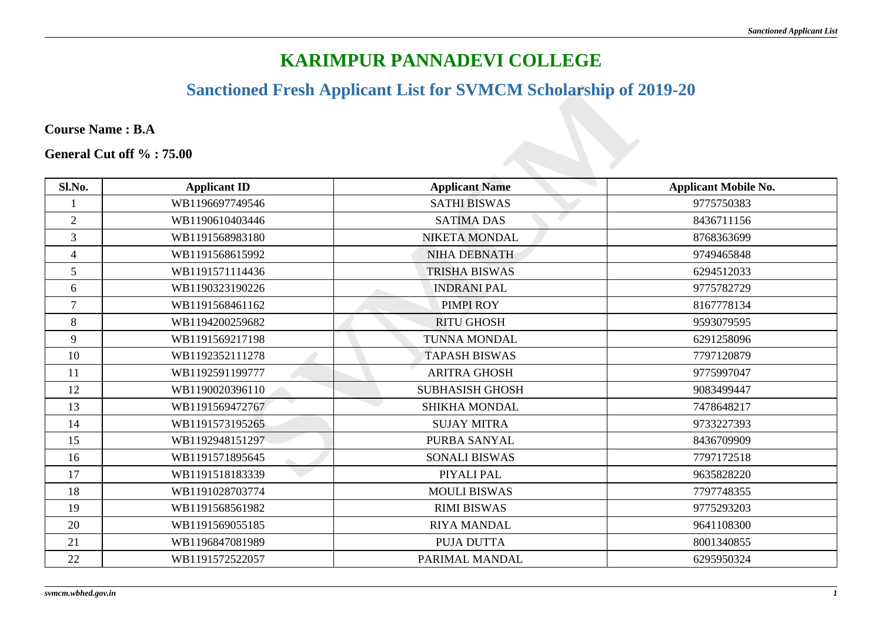## **KARIMPUR PANNADEVI COLLEGE**

### **Sanctioned Fresh Applicant List for SVMCM Scholarship of 2019-20**

|                          |                     | <b>Sanctioned Fresh Applicant List for SVMCM Scholarship of 2019-20</b> |                             |
|--------------------------|---------------------|-------------------------------------------------------------------------|-----------------------------|
| <b>Course Name: B.A</b>  |                     |                                                                         |                             |
| General Cut off %: 75.00 |                     |                                                                         |                             |
| Sl.No.                   | <b>Applicant ID</b> | <b>Applicant Name</b>                                                   | <b>Applicant Mobile No.</b> |
| 1                        | WB1196697749546     | <b>SATHI BISWAS</b>                                                     | 9775750383                  |
| $\overline{2}$           | WB1190610403446     | <b>SATIMA DAS</b>                                                       | 8436711156                  |
| $\overline{3}$           | WB1191568983180     | <b>NIKETA MONDAL</b>                                                    | 8768363699                  |
| $\overline{4}$           | WB1191568615992     | NIHA DEBNATH                                                            | 9749465848                  |
| 5                        | WB1191571114436     | <b>TRISHA BISWAS</b>                                                    | 6294512033                  |
| 6                        | WB1190323190226     | <b>INDRANI PAL</b>                                                      | 9775782729                  |
| $\tau$                   | WB1191568461162     | PIMPI ROY                                                               | 8167778134                  |
| 8                        | WB1194200259682     | <b>RITU GHOSH</b>                                                       | 9593079595                  |
| 9                        | WB1191569217198     | <b>TUNNA MONDAL</b>                                                     | 6291258096                  |
| 10                       | WB1192352111278     | <b>TAPASH BISWAS</b>                                                    | 7797120879                  |
| 11                       | WB1192591199777     | <b>ARITRA GHOSH</b>                                                     | 9775997047                  |
| 12                       | WB1190020396110     | <b>SUBHASISH GHOSH</b>                                                  | 9083499447                  |
| 13                       | WB1191569472767     | <b>SHIKHA MONDAL</b>                                                    | 7478648217                  |
| 14                       | WB1191573195265     | <b>SUJAY MITRA</b>                                                      | 9733227393                  |
| 15                       | WB1192948151297     | PURBA SANYAL                                                            | 8436709909                  |
| 16                       | WB1191571895645     | <b>SONALI BISWAS</b>                                                    | 7797172518                  |
| 17                       | WB1191518183339     | PIYALI PAL                                                              | 9635828220                  |
| 18                       | WB1191028703774     | <b>MOULI BISWAS</b>                                                     | 7797748355                  |
| 19                       | WB1191568561982     | <b>RIMI BISWAS</b>                                                      | 9775293203                  |
| 20                       | WB1191569055185     | <b>RIYA MANDAL</b>                                                      | 9641108300                  |
| 21                       | WB1196847081989     | PUJA DUTTA                                                              | 8001340855                  |
| 22                       | WB1191572522057     | PARIMAL MANDAL                                                          | 6295950324                  |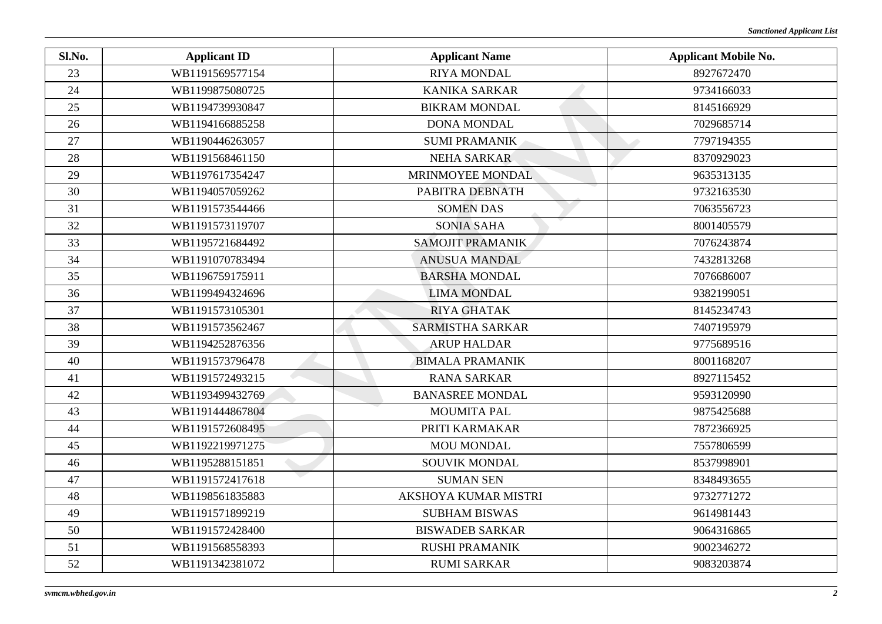| Sl.No. | <b>Applicant ID</b> | <b>Applicant Name</b>       | <b>Applicant Mobile No.</b> |
|--------|---------------------|-----------------------------|-----------------------------|
| 23     | WB1191569577154     | <b>RIYA MONDAL</b>          | 8927672470                  |
| 24     | WB1199875080725     | <b>KANIKA SARKAR</b>        | 9734166033                  |
| 25     | WB1194739930847     | <b>BIKRAM MONDAL</b>        | 8145166929                  |
| 26     | WB1194166885258     | <b>DONA MONDAL</b>          | 7029685714                  |
| 27     | WB1190446263057     | <b>SUMI PRAMANIK</b>        | 7797194355                  |
| 28     | WB1191568461150     | <b>NEHA SARKAR</b>          | 8370929023                  |
| 29     | WB1197617354247     | MRINMOYEE MONDAL            | 9635313135                  |
| 30     | WB1194057059262     | PABITRA DEBNATH             | 9732163530                  |
| 31     | WB1191573544466     | <b>SOMEN DAS</b>            | 7063556723                  |
| 32     | WB1191573119707     | <b>SONIA SAHA</b>           | 8001405579                  |
| 33     | WB1195721684492     | SAMOJIT PRAMANIK            | 7076243874                  |
| 34     | WB1191070783494     | <b>ANUSUA MANDAL</b>        | 7432813268                  |
| 35     | WB1196759175911     | <b>BARSHA MONDAL</b>        | 7076686007                  |
| 36     | WB1199494324696     | <b>LIMA MONDAL</b>          | 9382199051                  |
| 37     | WB1191573105301     | <b>RIYA GHATAK</b>          | 8145234743                  |
| 38     | WB1191573562467     | <b>SARMISTHA SARKAR</b>     | 7407195979                  |
| 39     | WB1194252876356     | <b>ARUP HALDAR</b>          | 9775689516                  |
| 40     | WB1191573796478     | <b>BIMALA PRAMANIK</b>      | 8001168207                  |
| 41     | WB1191572493215     | <b>RANA SARKAR</b>          | 8927115452                  |
| 42     | WB1193499432769     | <b>BANASREE MONDAL</b>      | 9593120990                  |
| 43     | WB1191444867804     | <b>MOUMITA PAL</b>          | 9875425688                  |
| 44     | WB1191572608495     | PRITI KARMAKAR              | 7872366925                  |
| 45     | WB1192219971275     | MOU MONDAL                  | 7557806599                  |
| 46     | WB1195288151851     | SOUVIK MONDAL               | 8537998901                  |
| 47     | WB1191572417618     | <b>SUMAN SEN</b>            | 8348493655                  |
| 48     | WB1198561835883     | <b>AKSHOYA KUMAR MISTRI</b> | 9732771272                  |
| 49     | WB1191571899219     | <b>SUBHAM BISWAS</b>        | 9614981443                  |
| 50     | WB1191572428400     | <b>BISWADEB SARKAR</b>      | 9064316865                  |
| 51     | WB1191568558393     | <b>RUSHI PRAMANIK</b>       | 9002346272                  |
| 52     | WB1191342381072     | <b>RUMI SARKAR</b>          | 9083203874                  |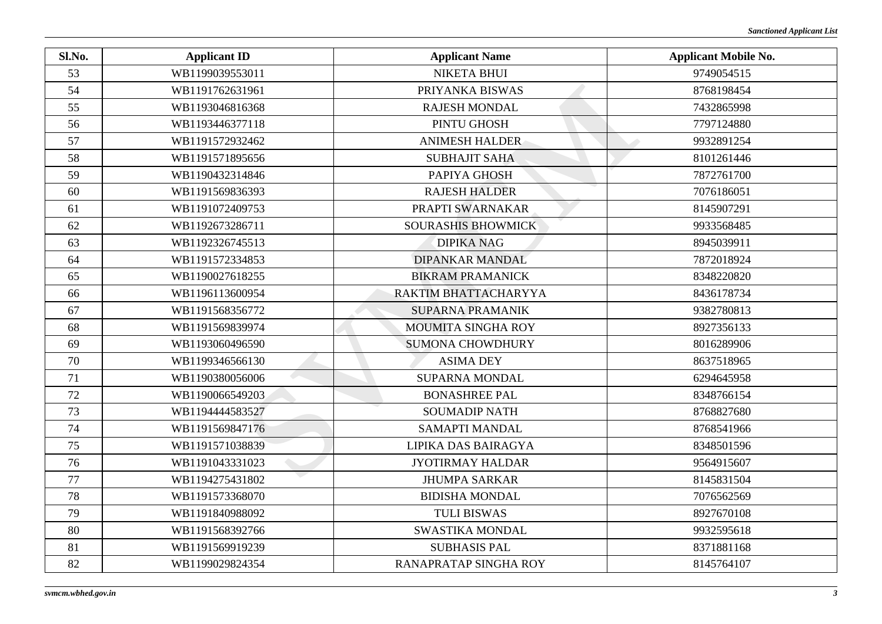| Sl.No. | <b>Applicant ID</b> | <b>Applicant Name</b>     | <b>Applicant Mobile No.</b> |
|--------|---------------------|---------------------------|-----------------------------|
| 53     | WB1199039553011     | <b>NIKETA BHUI</b>        | 9749054515                  |
| 54     | WB1191762631961     | PRIYANKA BISWAS           | 8768198454                  |
| 55     | WB1193046816368     | <b>RAJESH MONDAL</b>      | 7432865998                  |
| 56     | WB1193446377118     | PINTU GHOSH               | 7797124880                  |
| 57     | WB1191572932462     | <b>ANIMESH HALDER</b>     | 9932891254                  |
| 58     | WB1191571895656     | <b>SUBHAJIT SAHA</b>      | 8101261446                  |
| 59     | WB1190432314846     | PAPIYA GHOSH              | 7872761700                  |
| 60     | WB1191569836393     | <b>RAJESH HALDER</b>      | 7076186051                  |
| 61     | WB1191072409753     | PRAPTI SWARNAKAR          | 8145907291                  |
| 62     | WB1192673286711     | <b>SOURASHIS BHOWMICK</b> | 9933568485                  |
| 63     | WB1192326745513     | <b>DIPIKA NAG</b>         | 8945039911                  |
| 64     | WB1191572334853     | <b>DIPANKAR MANDAL</b>    | 7872018924                  |
| 65     | WB1190027618255     | <b>BIKRAM PRAMANICK</b>   | 8348220820                  |
| 66     | WB1196113600954     | RAKTIM BHATTACHARYYA      | 8436178734                  |
| 67     | WB1191568356772     | <b>SUPARNA PRAMANIK</b>   | 9382780813                  |
| 68     | WB1191569839974     | MOUMITA SINGHA ROY        | 8927356133                  |
| 69     | WB1193060496590     | <b>SUMONA CHOWDHURY</b>   | 8016289906                  |
| 70     | WB1199346566130     | <b>ASIMA DEY</b>          | 8637518965                  |
| 71     | WB1190380056006     | <b>SUPARNA MONDAL</b>     | 6294645958                  |
| 72     | WB1190066549203     | <b>BONASHREE PAL</b>      | 8348766154                  |
| 73     | WB1194444583527     | <b>SOUMADIP NATH</b>      | 8768827680                  |
| 74     | WB1191569847176     | <b>SAMAPTI MANDAL</b>     | 8768541966                  |
| 75     | WB1191571038839     | LIPIKA DAS BAIRAGYA       | 8348501596                  |
| 76     | WB1191043331023     | <b>JYOTIRMAY HALDAR</b>   | 9564915607                  |
| 77     | WB1194275431802     | <b>JHUMPA SARKAR</b>      | 8145831504                  |
| 78     | WB1191573368070     | <b>BIDISHA MONDAL</b>     | 7076562569                  |
| 79     | WB1191840988092     | <b>TULI BISWAS</b>        | 8927670108                  |
| 80     | WB1191568392766     | <b>SWASTIKA MONDAL</b>    | 9932595618                  |
| 81     | WB1191569919239     | <b>SUBHASIS PAL</b>       | 8371881168                  |
| 82     | WB1199029824354     | RANAPRATAP SINGHA ROY     | 8145764107                  |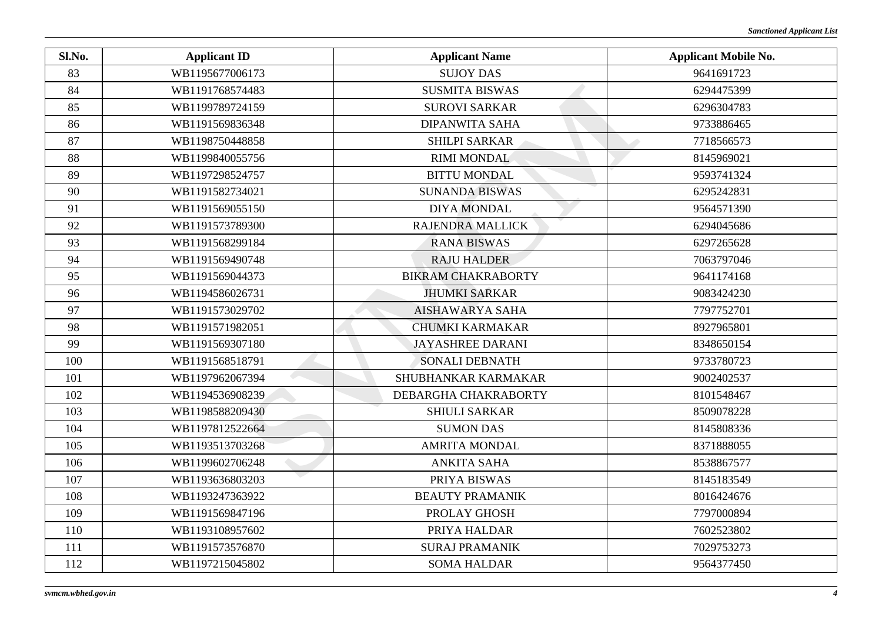| Sl.No. | <b>Applicant ID</b> | <b>Applicant Name</b>     | <b>Applicant Mobile No.</b> |
|--------|---------------------|---------------------------|-----------------------------|
| 83     | WB1195677006173     | <b>SUJOY DAS</b>          | 9641691723                  |
| 84     | WB1191768574483     | <b>SUSMITA BISWAS</b>     | 6294475399                  |
| 85     | WB1199789724159     | <b>SUROVI SARKAR</b>      | 6296304783                  |
| 86     | WB1191569836348     | <b>DIPANWITA SAHA</b>     | 9733886465                  |
| 87     | WB1198750448858     | <b>SHILPI SARKAR</b>      | 7718566573                  |
| 88     | WB1199840055756     | <b>RIMI MONDAL</b>        | 8145969021                  |
| 89     | WB1197298524757     | <b>BITTU MONDAL</b>       | 9593741324                  |
| 90     | WB1191582734021     | <b>SUNANDA BISWAS</b>     | 6295242831                  |
| 91     | WB1191569055150     | <b>DIYA MONDAL</b>        | 9564571390                  |
| 92     | WB1191573789300     | <b>RAJENDRA MALLICK</b>   | 6294045686                  |
| 93     | WB1191568299184     | <b>RANA BISWAS</b>        | 6297265628                  |
| 94     | WB1191569490748     | <b>RAJU HALDER</b>        | 7063797046                  |
| 95     | WB1191569044373     | <b>BIKRAM CHAKRABORTY</b> | 9641174168                  |
| 96     | WB1194586026731     | <b>JHUMKI SARKAR</b>      | 9083424230                  |
| 97     | WB1191573029702     | <b>AISHAWARYA SAHA</b>    | 7797752701                  |
| 98     | WB1191571982051     | <b>CHUMKI KARMAKAR</b>    | 8927965801                  |
| 99     | WB1191569307180     | <b>JAYASHREE DARANI</b>   | 8348650154                  |
| 100    | WB1191568518791     | <b>SONALI DEBNATH</b>     | 9733780723                  |
| 101    | WB1197962067394     | SHUBHANKAR KARMAKAR       | 9002402537                  |
| 102    | WB1194536908239     | DEBARGHA CHAKRABORTY      | 8101548467                  |
| 103    | WB1198588209430     | <b>SHIULI SARKAR</b>      | 8509078228                  |
| 104    | WB1197812522664     | <b>SUMON DAS</b>          | 8145808336                  |
| 105    | WB1193513703268     | <b>AMRITA MONDAL</b>      | 8371888055                  |
| 106    | WB1199602706248     | <b>ANKITA SAHA</b>        | 8538867577                  |
| 107    | WB1193636803203     | PRIYA BISWAS              | 8145183549                  |
| 108    | WB1193247363922     | <b>BEAUTY PRAMANIK</b>    | 8016424676                  |
| 109    | WB1191569847196     | PROLAY GHOSH              | 7797000894                  |
| 110    | WB1193108957602     | PRIYA HALDAR              | 7602523802                  |
| 111    | WB1191573576870     | <b>SURAJ PRAMANIK</b>     | 7029753273                  |
| 112    | WB1197215045802     | <b>SOMA HALDAR</b>        | 9564377450                  |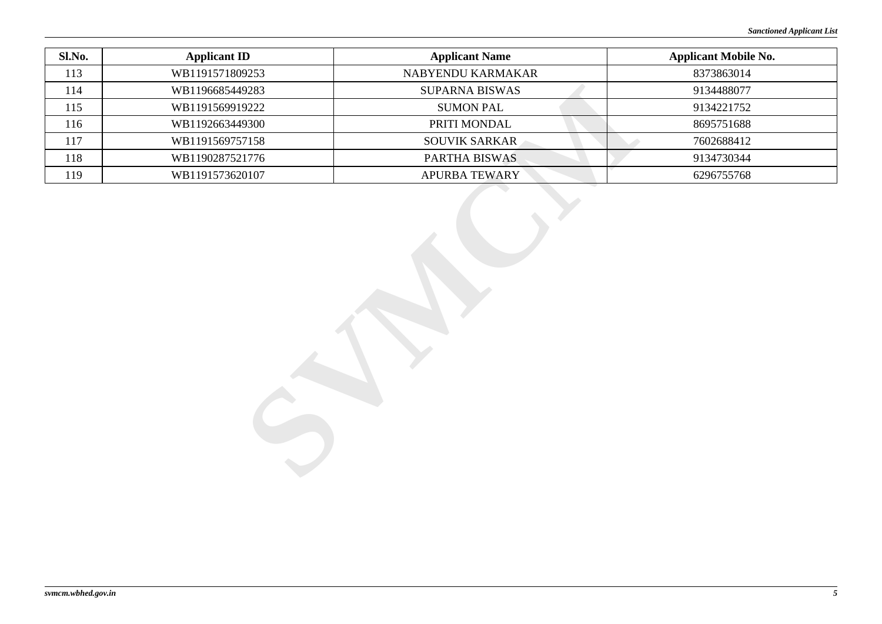| Sl.No. | <b>Applicant ID</b> | <b>Applicant Name</b> | <b>Applicant Mobile No.</b> |
|--------|---------------------|-----------------------|-----------------------------|
| 113    | WB1191571809253     | NABYENDU KARMAKAR     | 8373863014                  |
| 114    | WB1196685449283     | SUPARNA BISWAS        | 9134488077                  |
| 115    | WB1191569919222     | <b>SUMON PAL</b>      | 9134221752                  |
| 116    | WB1192663449300     | PRITI MONDAL          | 8695751688                  |
| 117    | WB1191569757158     | SOUVIK SARKAR         | 7602688412                  |
| 118    | WB1190287521776     | PARTHA BISWAS         | 9134730344                  |
| 119    | WB1191573620107     | <b>APURBA TEWARY</b>  | 6296755768                  |
|        |                     |                       |                             |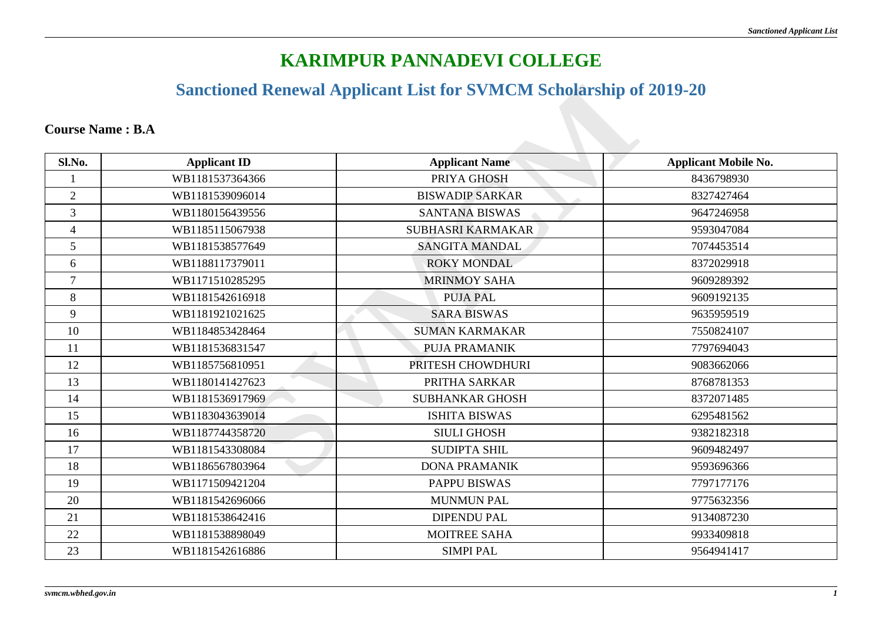# **KARIMPUR PANNADEVI COLLEGE**

### **Sanctioned Renewal Applicant List for SVMCM Scholarship of 2019-20**

#### **Course Name : B.A**

|                         |                       | <b>Sanctioned Renewal Applicant List for SVMCM Scholarship of 2019-20</b> |                             |
|-------------------------|-----------------------|---------------------------------------------------------------------------|-----------------------------|
| <b>Course Name: B.A</b> |                       |                                                                           |                             |
| Sl.No.                  | <b>Applicant ID</b>   | <b>Applicant Name</b>                                                     | <b>Applicant Mobile No.</b> |
|                         | WB1181537364366       | PRIYA GHOSH                                                               | 8436798930                  |
| $\overline{2}$          | WB1181539096014       | <b>BISWADIP SARKAR</b>                                                    | 8327427464                  |
| $\overline{3}$          | WB1180156439556       | <b>SANTANA BISWAS</b>                                                     | 9647246958                  |
| $\overline{4}$          | WB1185115067938       | SUBHASRI KARMAKAR                                                         | 9593047084                  |
| 5                       | WB1181538577649       | <b>SANGITA MANDAL</b>                                                     | 7074453514                  |
| 6                       | WB1188117379011       | <b>ROKY MONDAL</b>                                                        | 8372029918                  |
| $\tau$                  | WB1171510285295       | <b>MRINMOY SAHA</b>                                                       | 9609289392                  |
| 8                       | WB1181542616918       | <b>PUJA PAL</b>                                                           | 9609192135                  |
| 9                       | WB1181921021625       | <b>SARA BISWAS</b>                                                        | 9635959519                  |
| 10                      | WB1184853428464       | <b>SUMAN KARMAKAR</b>                                                     | 7550824107                  |
| 11                      | WB1181536831547       | <b>PUJA PRAMANIK</b>                                                      | 7797694043                  |
| 12                      | WB1185756810951       | PRITESH CHOWDHURI                                                         | 9083662066                  |
| 13                      | WB1180141427623       | PRITHA SARKAR                                                             | 8768781353                  |
| 14                      | WB1181536917969       | <b>SUBHANKAR GHOSH</b>                                                    | 8372071485                  |
| 15                      | WB1183043639014       | <b>ISHITA BISWAS</b>                                                      | 6295481562                  |
| 16                      | WB1187744358720       | <b>SIULI GHOSH</b>                                                        | 9382182318                  |
| 17                      | WB1181543308084       | <b>SUDIPTA SHIL</b>                                                       | 9609482497                  |
| 18                      | WB1186567803964       | <b>DONA PRAMANIK</b>                                                      | 9593696366                  |
| 19                      | N)<br>WB1171509421204 | PAPPU BISWAS                                                              | 7797177176                  |
| 20                      | WB1181542696066       | <b>MUNMUN PAL</b>                                                         | 9775632356                  |
| 21                      | WB1181538642416       | <b>DIPENDU PAL</b>                                                        | 9134087230                  |
| 22                      | WB1181538898049       | <b>MOITREE SAHA</b>                                                       | 9933409818                  |
| 23                      | WB1181542616886       | <b>SIMPI PAL</b>                                                          | 9564941417                  |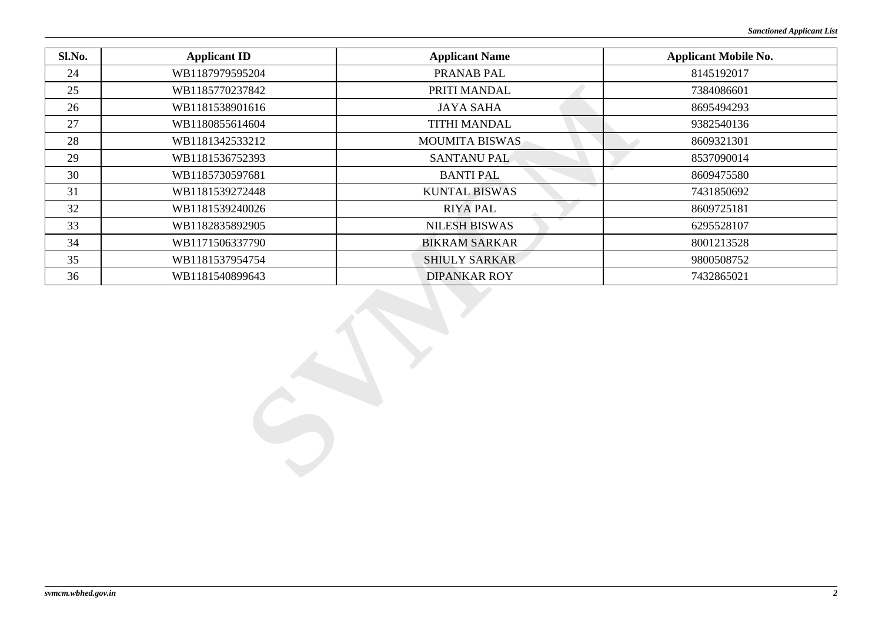| Sl.No. | <b>Applicant ID</b> | <b>Applicant Name</b> | <b>Applicant Mobile No.</b> |
|--------|---------------------|-----------------------|-----------------------------|
| 24     | WB1187979595204     | PRANAB PAL            | 8145192017                  |
| 25     | WB1185770237842     | PRITI MANDAL          | 7384086601                  |
| 26     | WB1181538901616     | <b>JAYA SAHA</b>      | 8695494293                  |
| 27     | WB1180855614604     | <b>TITHI MANDAL</b>   | 9382540136                  |
| 28     | WB1181342533212     | <b>MOUMITA BISWAS</b> | 8609321301                  |
| 29     | WB1181536752393     | <b>SANTANU PAL</b>    | 8537090014                  |
| 30     | WB1185730597681     | <b>BANTI PAL</b>      | 8609475580                  |
| 31     | WB1181539272448     | <b>KUNTAL BISWAS</b>  | 7431850692                  |
| 32     | WB1181539240026     | <b>RIYA PAL</b>       | 8609725181                  |
| 33     | WB1182835892905     | <b>NILESH BISWAS</b>  | 6295528107                  |
| 34     | WB1171506337790     | <b>BIKRAM SARKAR</b>  | 8001213528                  |
| 35     | WB1181537954754     | SHIULY SARKAR         | 9800508752                  |
| 36     | WB1181540899643     | <b>DIPANKAR ROY</b>   | 7432865021                  |
|        |                     |                       |                             |